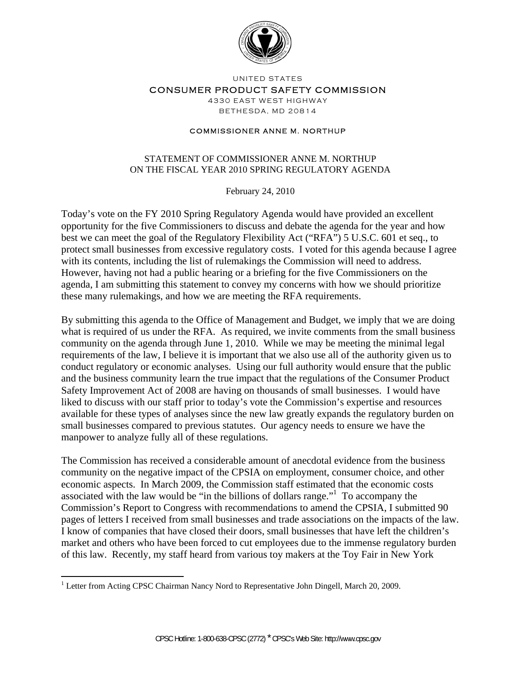

UNITED STATES

CONSUMER PRODUCT SAFETY COMMISSION

4330 EAST WEST HIGHWAY BETHESDA, MD 20814

## COMMISSIONER ANNE M. NORTHUP

## STATEMENT OF COMMISSIONER ANNE M. NORTHUP ON THE FISCAL YEAR 2010 SPRING REGULATORY AGENDA

February 24, 2010

Today's vote on the FY 2010 Spring Regulatory Agenda would have provided an excellent opportunity for the five Commissioners to discuss and debate the agenda for the year and how best we can meet the goal of the Regulatory Flexibility Act ("RFA") 5 U.S.C. 601 et seq., to protect small businesses from excessive regulatory costs. I voted for this agenda because I agree with its contents, including the list of rulemakings the Commission will need to address. However, having not had a public hearing or a briefing for the five Commissioners on the agenda, I am submitting this statement to convey my concerns with how we should prioritize these many rulemakings, and how we are meeting the RFA requirements.

By submitting this agenda to the Office of Management and Budget, we imply that we are doing what is required of us under the RFA. As required, we invite comments from the small business community on the agenda through June 1, 2010. While we may be meeting the minimal legal requirements of the law, I believe it is important that we also use all of the authority given us to conduct regulatory or economic analyses. Using our full authority would ensure that the public and the business community learn the true impact that the regulations of the Consumer Product Safety Improvement Act of 2008 are having on thousands of small businesses. I would have liked to discuss with our staff prior to today's vote the Commission's expertise and resources available for these types of analyses since the new law greatly expands the regulatory burden on small businesses compared to previous statutes. Our agency needs to ensure we have the manpower to analyze fully all of these regulations.

The Commission has received a considerable amount of anecdotal evidence from the business community on the negative impact of the CPSIA on employment, consumer choice, and other economic aspects. In March 2009, the Commission staff estimated that the economic costs associated with the law would be "in the billions of dollars range." To accompany the Commission's Report to Congress with recommendations to amend the CPSIA, I submitted 90 pages of letters I received from small businesses and trade associations on the impacts of the law. I know of companies that have closed their doors, small businesses that have left the children's market and others who have been forced to cut employees due to the immense regulatory burden of this law. Recently, my staff heard from various toy makers at the Toy Fair in New York

<u>.</u>

<sup>&</sup>lt;sup>1</sup> Letter from Acting CPSC Chairman Nancy Nord to Representative John Dingell, March 20, 2009.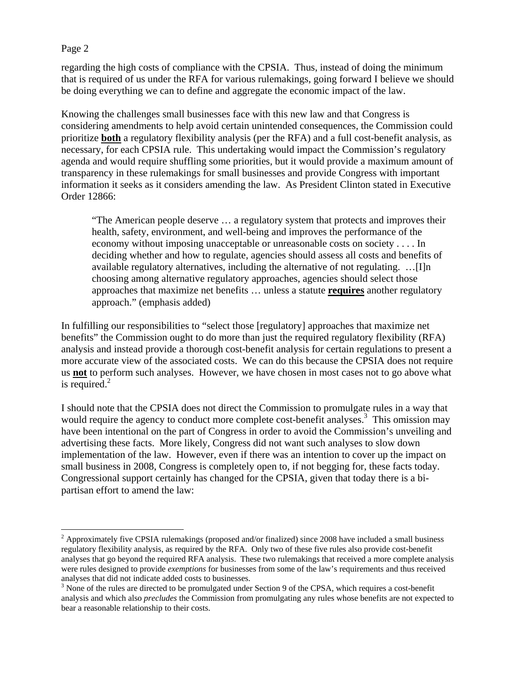## Page 2

 $\overline{a}$ 

regarding the high costs of compliance with the CPSIA. Thus, instead of doing the minimum that is required of us under the RFA for various rulemakings, going forward I believe we should be doing everything we can to define and aggregate the economic impact of the law.

Knowing the challenges small businesses face with this new law and that Congress is considering amendments to help avoid certain unintended consequences, the Commission could prioritize **both** a regulatory flexibility analysis (per the RFA) and a full cost-benefit analysis, as necessary, for each CPSIA rule. This undertaking would impact the Commission's regulatory agenda and would require shuffling some priorities, but it would provide a maximum amount of transparency in these rulemakings for small businesses and provide Congress with important information it seeks as it considers amending the law. As President Clinton stated in Executive Order 12866:

"The American people deserve … a regulatory system that protects and improves their health, safety, environment, and well-being and improves the performance of the economy without imposing unacceptable or unreasonable costs on society . . . . In deciding whether and how to regulate, agencies should assess all costs and benefits of available regulatory alternatives, including the alternative of not regulating. …[I]n choosing among alternative regulatory approaches, agencies should select those approaches that maximize net benefits … unless a statute **requires** another regulatory approach." (emphasis added)

In fulfilling our responsibilities to "select those [regulatory] approaches that maximize net benefits" the Commission ought to do more than just the required regulatory flexibility (RFA) analysis and instead provide a thorough cost-benefit analysis for certain regulations to present a more accurate view of the associated costs. We can do this because the CPSIA does not require us **not** to perform such analyses. However, we have chosen in most cases not to go above what is required. $2$ 

I should note that the CPSIA does not direct the Commission to promulgate rules in a way that would require the agency to conduct more complete cost-benefit analyses.<sup>3</sup> This omission may have been intentional on the part of Congress in order to avoid the Commission's unveiling and advertising these facts. More likely, Congress did not want such analyses to slow down implementation of the law. However, even if there was an intention to cover up the impact on small business in 2008, Congress is completely open to, if not begging for, these facts today. Congressional support certainly has changed for the CPSIA, given that today there is a bipartisan effort to amend the law:

 $2$  Approximately five CPSIA rulemakings (proposed and/or finalized) since 2008 have included a small business regulatory flexibility analysis, as required by the RFA. Only two of these five rules also provide cost-benefit analyses that go beyond the required RFA analysis. These two rulemakings that received a more complete analysis were rules designed to provide *exemptions* for businesses from some of the law's requirements and thus received analyses that did not indicate added costs to businesses.

 $3$  None of the rules are directed to be promulgated under Section 9 of the CPSA, which requires a cost-benefit analysis and which also *precludes* the Commission from promulgating any rules whose benefits are not expected to bear a reasonable relationship to their costs.